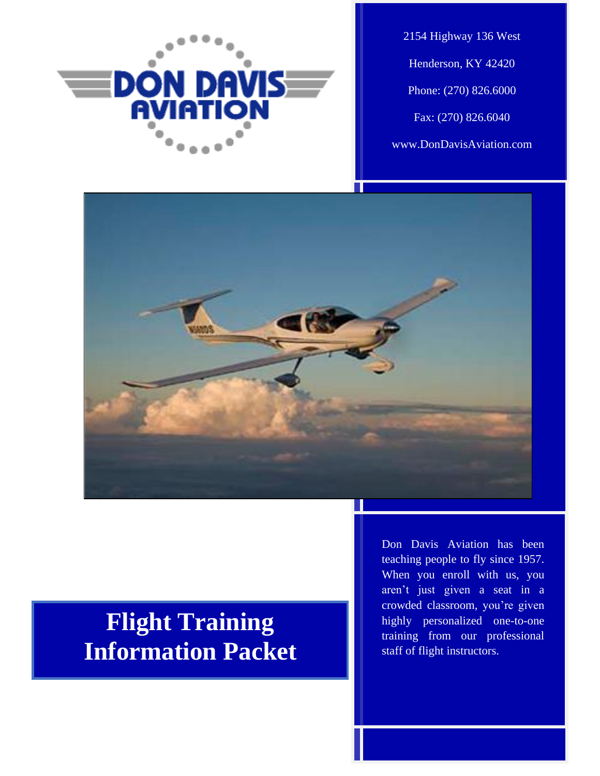

2154 Highway 136 West Henderson, KY 42420 Phone: (270) 826.6000 Fax: (270) 826.6040 www.DonDavisAviation.com



# **Flight Training Information Packet**

Don Davis Aviation has been teaching people to fly since 1957. When you enroll with us, you aren't just given a seat in a crowded classroom, you're given highly personalized one-to-one training from our professional staff of flight instructors.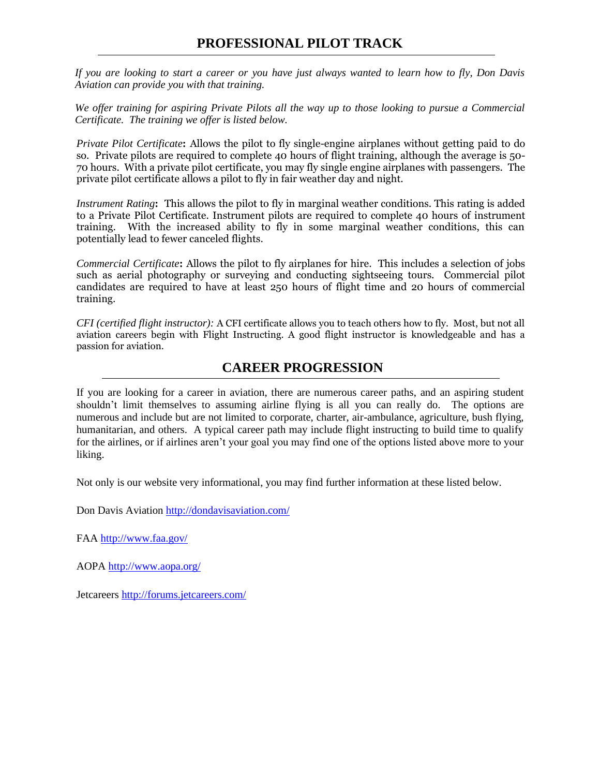*If you are looking to start a career or you have just always wanted to learn how to fly, Don Davis Aviation can provide you with that training.*

*We offer training for aspiring Private Pilots all the way up to those looking to pursue a Commercial Certificate. The training we offer is listed below.*

*Private Pilot Certificate***:** Allows the pilot to fly single-engine airplanes without getting paid to do so. Private pilots are required to complete 40 hours of flight training, although the average is 50- 70 hours. With a private pilot certificate, you may fly single engine airplanes with passengers. The private pilot certificate allows a pilot to fly in fair weather day and night.

*Instrument Rating***:** This allows the pilot to fly in marginal weather conditions. This rating is added to a Private Pilot Certificate. Instrument pilots are required to complete 40 hours of instrument training. With the increased ability to fly in some marginal weather conditions, this can potentially lead to fewer canceled flights.

*Commercial Certificate***:** Allows the pilot to fly airplanes for hire. This includes a selection of jobs such as aerial photography or surveying and conducting sightseeing tours. Commercial pilot candidates are required to have at least 250 hours of flight time and 20 hours of commercial training.

*CFI (certified flight instructor):* A CFI certificate allows you to teach others how to fly. Most, but not all aviation careers begin with Flight Instructing. A good flight instructor is knowledgeable and has a passion for aviation.

# **CAREER PROGRESSION**

If you are looking for a career in aviation, there are numerous career paths, and an aspiring student shouldn't limit themselves to assuming airline flying is all you can really do. The options are numerous and include but are not limited to corporate, charter, air-ambulance, agriculture, bush flying, humanitarian, and others. A typical career path may include flight instructing to build time to qualify for the airlines, or if airlines aren't your goal you may find one of the options listed above more to your liking.

Not only is our website very informational, you may find further information at these listed below.

Don Davis Aviation<http://dondavisaviation.com/>

FAA<http://www.faa.gov/>

AOPA<http://www.aopa.org/>

Jetcareers<http://forums.jetcareers.com/>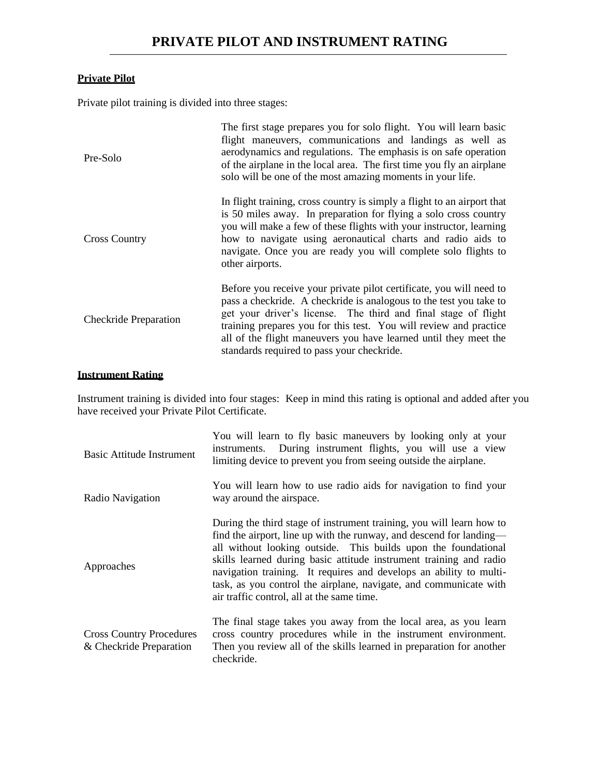## **Private Pilot**

Private pilot training is divided into three stages:

| Pre-Solo                     | The first stage prepares you for solo flight. You will learn basic<br>flight maneuvers, communications and landings as well as<br>aerodynamics and regulations. The emphasis is on safe operation<br>of the airplane in the local area. The first time you fly an airplane<br>solo will be one of the most amazing moments in your life.                                                           |
|------------------------------|----------------------------------------------------------------------------------------------------------------------------------------------------------------------------------------------------------------------------------------------------------------------------------------------------------------------------------------------------------------------------------------------------|
| <b>Cross Country</b>         | In flight training, cross country is simply a flight to an airport that<br>is 50 miles away. In preparation for flying a solo cross country<br>you will make a few of these flights with your instructor, learning<br>how to navigate using aeronautical charts and radio aids to<br>navigate. Once you are ready you will complete solo flights to<br>other airports.                             |
| <b>Checkride Preparation</b> | Before you receive your private pilot certificate, you will need to<br>pass a checkride. A checkride is analogous to the test you take to<br>get your driver's license. The third and final stage of flight<br>training prepares you for this test. You will review and practice<br>all of the flight maneuvers you have learned until they meet the<br>standards required to pass your checkride. |

## **Instrument Rating**

Instrument training is divided into four stages: Keep in mind this rating is optional and added after you have received your Private Pilot Certificate.

| Basic Attitude Instrument                                  | You will learn to fly basic maneuvers by looking only at your<br>instruments. During instrument flights, you will use a view<br>limiting device to prevent you from seeing outside the airplane.                                                                                                                                                                                                                                                                             |
|------------------------------------------------------------|------------------------------------------------------------------------------------------------------------------------------------------------------------------------------------------------------------------------------------------------------------------------------------------------------------------------------------------------------------------------------------------------------------------------------------------------------------------------------|
| Radio Navigation                                           | You will learn how to use radio aids for navigation to find your<br>way around the airspace.                                                                                                                                                                                                                                                                                                                                                                                 |
| Approaches                                                 | During the third stage of instrument training, you will learn how to<br>find the airport, line up with the runway, and descend for landing—<br>all without looking outside. This builds upon the foundational<br>skills learned during basic attitude instrument training and radio<br>navigation training. It requires and develops an ability to multi-<br>task, as you control the airplane, navigate, and communicate with<br>air traffic control, all at the same time. |
| <b>Cross Country Procedures</b><br>& Checkride Preparation | The final stage takes you away from the local area, as you learn<br>cross country procedures while in the instrument environment.<br>Then you review all of the skills learned in preparation for another<br>checkride.                                                                                                                                                                                                                                                      |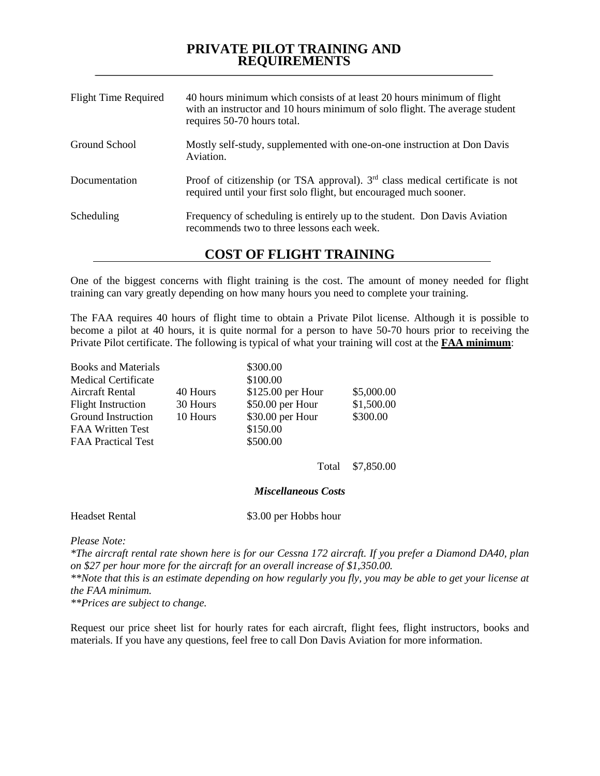## **PRIVATE PILOT TRAINING AND REQUIREMENTS**

| <b>Flight Time Required</b> | 40 hours minimum which consists of at least 20 hours minimum of flight<br>with an instructor and 10 hours minimum of solo flight. The average student<br>requires 50-70 hours total. |  |
|-----------------------------|--------------------------------------------------------------------------------------------------------------------------------------------------------------------------------------|--|
| Ground School               | Mostly self-study, supplemented with one-on-one instruction at Don Davis<br>Aviation.                                                                                                |  |
| Documentation               | Proof of citizenship (or TSA approval). $3rd$ class medical certificate is not<br>required until your first solo flight, but encouraged much sooner.                                 |  |
| Scheduling                  | Frequency of scheduling is entirely up to the student. Don Davis Aviation<br>recommends two to three lessons each week.                                                              |  |
| __ _ _ _ _ _ _ _            |                                                                                                                                                                                      |  |

**COST OF FLIGHT TRAINING**

One of the biggest concerns with flight training is the cost. The amount of money needed for flight training can vary greatly depending on how many hours you need to complete your training.

The FAA requires 40 hours of flight time to obtain a Private Pilot license. Although it is possible to become a pilot at 40 hours, it is quite normal for a person to have 50-70 hours prior to receiving the Private Pilot certificate. The following is typical of what your training will cost at the **FAA minimum**:

| <b>Books and Materials</b> |          | \$300.00           |            |
|----------------------------|----------|--------------------|------------|
| <b>Medical Certificate</b> |          | \$100.00           |            |
| Aircraft Rental            | 40 Hours | $$125.00$ per Hour | \$5,000.00 |
| <b>Flight Instruction</b>  | 30 Hours | $$50.00$ per Hour  | \$1,500.00 |
| Ground Instruction         | 10 Hours | \$30.00 per Hour   | \$300.00   |
| <b>FAA Written Test</b>    |          | \$150.00           |            |
| <b>FAA Practical Test</b>  |          | \$500.00           |            |
|                            |          |                    |            |

Total \$7,850.00

#### *Miscellaneous Costs*

Headset Rental \$3.00 per Hobbs hour

*Please Note:*

*\*The aircraft rental rate shown here is for our Cessna 172 aircraft. If you prefer a Diamond DA40, plan on \$27 per hour more for the aircraft for an overall increase of \$1,350.00. \*\*Note that this is an estimate depending on how regularly you fly, you may be able to get your license at* 

*the FAA minimum.* 

*\*\*Prices are subject to change.*

Request our price sheet list for hourly rates for each aircraft, flight fees, flight instructors, books and materials. If you have any questions, feel free to call Don Davis Aviation for more information.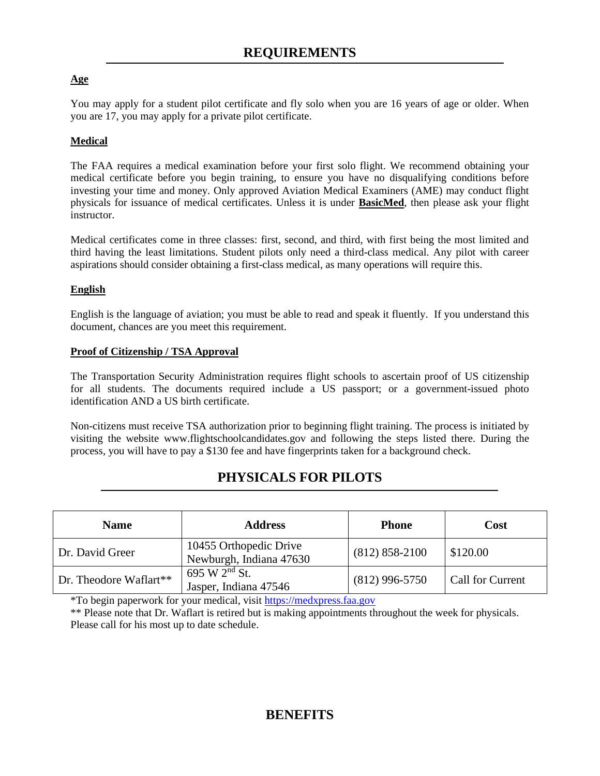## **Age**

You may apply for a student pilot certificate and fly solo when you are 16 years of age or older. When you are 17, you may apply for a private pilot certificate.

## **Medical**

The FAA requires a medical examination before your first solo flight. We recommend obtaining your medical certificate before you begin training, to ensure you have no disqualifying conditions before investing your time and money. Only approved Aviation Medical Examiners (AME) may conduct flight physicals for issuance of medical certificates. Unless it is under **BasicMed**, then please ask your flight instructor.

Medical certificates come in three classes: first, second, and third, with first being the most limited and third having the least limitations. Student pilots only need a third-class medical. Any pilot with career aspirations should consider obtaining a first-class medical, as many operations will require this.

#### **English**

English is the language of aviation; you must be able to read and speak it fluently. If you understand this document, chances are you meet this requirement.

#### **Proof of Citizenship / TSA Approval**

The Transportation Security Administration requires flight schools to ascertain proof of US citizenship for all students. The documents required include a US passport; or a government-issued photo identification AND a US birth certificate.

Non-citizens must receive TSA authorization prior to beginning flight training. The process is initiated by visiting the website www.flightschoolcandidates.gov and following the steps listed there. During the process, you will have to pay a \$130 fee and have fingerprints taken for a background check.

# **PHYSICALS FOR PILOTS**

| <b>Name</b>            | <b>Address</b>                                    | <b>Phone</b>       | Cost             |
|------------------------|---------------------------------------------------|--------------------|------------------|
| Dr. David Greer        | 10455 Orthopedic Drive<br>Newburgh, Indiana 47630 | $(812) 858 - 2100$ | \$120.00         |
| Dr. Theodore Waflart** | 695 W $2nd$ St.<br>Jasper, Indiana 47546          | $(812)$ 996-5750   | Call for Current |

\*To begin paperwork for your medical, visit [https://medxpress.faa.gov](https://medxpress.faa.gov/)

\*\* Please note that Dr. Waflart is retired but is making appointments throughout the week for physicals. Please call for his most up to date schedule.

# **BENEFITS**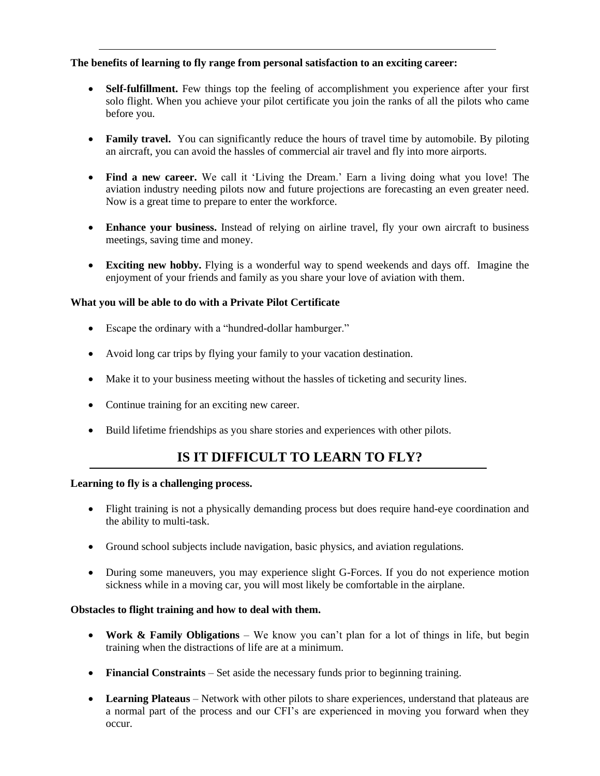#### **The benefits of learning to fly range from personal satisfaction to an exciting career:**

- **Self-fulfillment.** Few things top the feeling of accomplishment you experience after your first solo flight. When you achieve your pilot certificate you join the ranks of all the pilots who came before you.
- **Family travel.** You can significantly reduce the hours of travel time by automobile. By piloting an aircraft, you can avoid the hassles of commercial air travel and fly into more airports.
- **Find a new career.** We call it 'Living the Dream.' Earn a living doing what you love! The aviation industry needing pilots now and future projections are forecasting an even greater need. Now is a great time to prepare to enter the workforce.
- **Enhance your business.** Instead of relying on airline travel, fly your own aircraft to business meetings, saving time and money.
- **Exciting new hobby.** Flying is a wonderful way to spend weekends and days off. Imagine the enjoyment of your friends and family as you share your love of aviation with them.

#### **What you will be able to do with a Private Pilot Certificate**

- Escape the ordinary with a "hundred-dollar hamburger."
- Avoid long car trips by flying your family to your vacation destination.
- Make it to your business meeting without the hassles of ticketing and security lines.
- Continue training for an exciting new career.
- Build lifetime friendships as you share stories and experiences with other pilots.

# **IS IT DIFFICULT TO LEARN TO FLY?**

#### **Learning to fly is a challenging process.**

- Flight training is not a physically demanding process but does require hand-eye coordination and the ability to multi-task.
- Ground school subjects include navigation, basic physics, and aviation regulations.
- During some maneuvers, you may experience slight G-Forces. If you do not experience motion sickness while in a moving car, you will most likely be comfortable in the airplane.

#### **Obstacles to flight training and how to deal with them.**

- **Work & Family Obligations** We know you can't plan for a lot of things in life, but begin training when the distractions of life are at a minimum.
- **Financial Constraints** Set aside the necessary funds prior to beginning training.
- **Learning Plateaus** Network with other pilots to share experiences, understand that plateaus are a normal part of the process and our CFI's are experienced in moving you forward when they occur.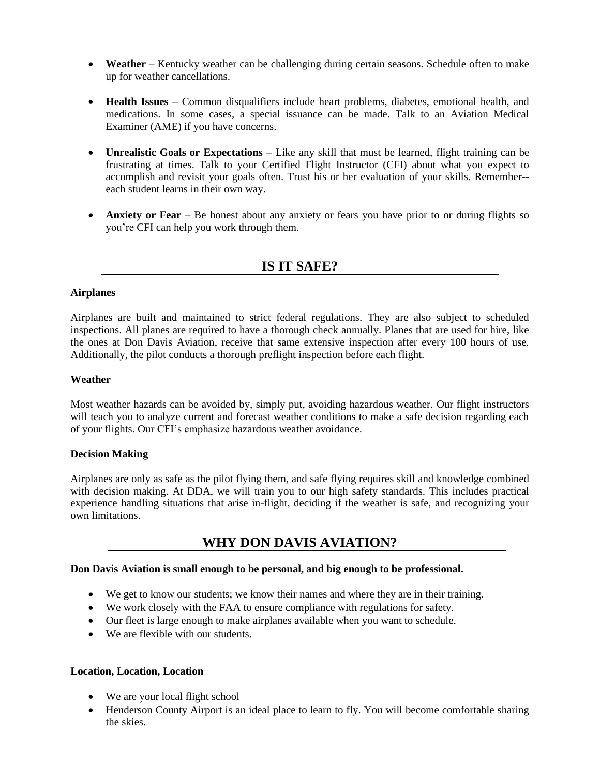- **Weather** Kentucky weather can be challenging during certain seasons. Schedule often to make up for weather cancellations.
- **Health Issues** Common disqualifiers include heart problems, diabetes, emotional health, and medications. In some cases, a special issuance can be made. Talk to an Aviation Medical Examiner (AME) if you have concerns.
- **Unrealistic Goals or Expectations** Like any skill that must be learned, flight training can be frustrating at times. Talk to your Certified Flight Instructor (CFI) about what you expect to accomplish and revisit your goals often. Trust his or her evaluation of your skills. Remember- each student learns in their own way.
- **Anxiety or Fear** Be honest about any anxiety or fears you have prior to or during flights so you're CFI can help you work through them.

## **IS IT SAFE?**

#### **Airplanes**

Airplanes are built and maintained to strict federal regulations. They are also subject to scheduled inspections. All planes are required to have a thorough check annually. Planes that are used for hire, like the ones at Don Davis Aviation, receive that same extensive inspection after every 100 hours of use. Additionally, the pilot conducts a thorough preflight inspection before each flight.

#### **Weather**

Most weather hazards can be avoided by, simply put, avoiding hazardous weather. Our flight instructors will teach you to analyze current and forecast weather conditions to make a safe decision regarding each of your flights. Our CFI's emphasize hazardous weather avoidance.

#### **Decision Making**

Airplanes are only as safe as the pilot flying them, and safe flying requires skill and knowledge combined with decision making. At DDA, we will train you to our high safety standards. This includes practical experience handling situations that arise in-flight, deciding if the weather is safe, and recognizing your own limitations.

# **WHY DON DAVIS AVIATION?**

#### **Don Davis Aviation is small enough to be personal, and big enough to be professional.**

- We get to know our students; we know their names and where they are in their training.
- We work closely with the FAA to ensure compliance with regulations for safety.
- Our fleet is large enough to make airplanes available when you want to schedule.
- We are flexible with our students.

#### **Location, Location, Location**

- We are your local flight school
- Henderson County Airport is an ideal place to learn to fly. You will become comfortable sharing the skies.